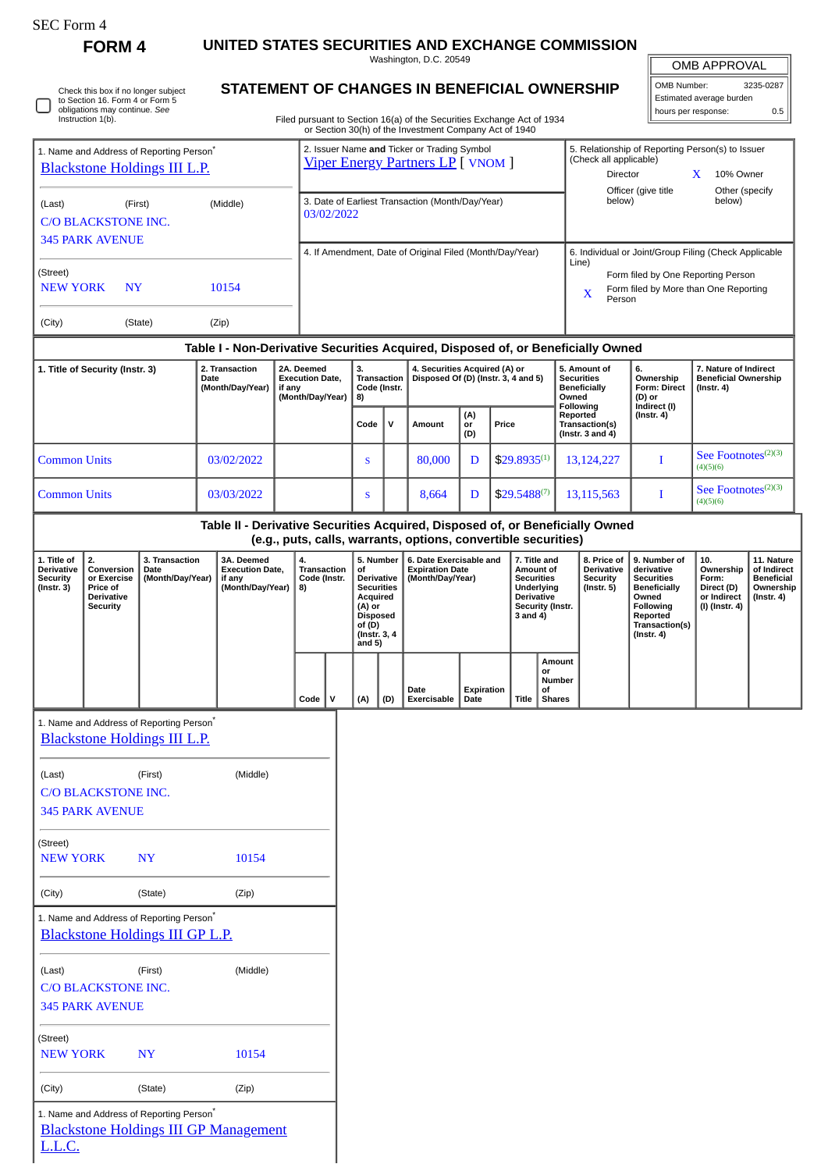| SEC Form |  |
|----------|--|
|----------|--|

L.L.C.

**FORM 4 UNITED STATES SECURITIES AND EXCHANGE COMMISSION** Washington, D.C. 20549

| OMB APPROVAL |
|--------------|

 $\equiv$ 

|                                                                                             |                                                                                                                              |                                                                                             |                                                                                  |                                                                |                                                                                         |                                                                                                                                                                         |                                                                      |              |                                                                                                                        |                                                                   |              |                                                                                                   |                                                                                                          |                                                                                                                                                | <b>OMB APPROVAL</b>              |                                                                   |                                                                   |  |
|---------------------------------------------------------------------------------------------|------------------------------------------------------------------------------------------------------------------------------|---------------------------------------------------------------------------------------------|----------------------------------------------------------------------------------|----------------------------------------------------------------|-----------------------------------------------------------------------------------------|-------------------------------------------------------------------------------------------------------------------------------------------------------------------------|----------------------------------------------------------------------|--------------|------------------------------------------------------------------------------------------------------------------------|-------------------------------------------------------------------|--------------|---------------------------------------------------------------------------------------------------|----------------------------------------------------------------------------------------------------------|------------------------------------------------------------------------------------------------------------------------------------------------|----------------------------------|-------------------------------------------------------------------|-------------------------------------------------------------------|--|
|                                                                                             | Check this box if no longer subject<br>to Section 16. Form 4 or Form 5<br>obligations may continue. See<br>Instruction 1(b). |                                                                                             |                                                                                  |                                                                |                                                                                         |                                                                                                                                                                         |                                                                      |              | STATEMENT OF CHANGES IN BENEFICIAL OWNERSHIP<br>Filed pursuant to Section 16(a) of the Securities Exchange Act of 1934 |                                                                   |              |                                                                                                   |                                                                                                          |                                                                                                                                                | OMB Number:                      | Estimated average burden<br>hours per response:                   | 3235-0287<br>0.5                                                  |  |
|                                                                                             |                                                                                                                              |                                                                                             |                                                                                  |                                                                |                                                                                         |                                                                                                                                                                         |                                                                      |              | or Section 30(h) of the Investment Company Act of 1940                                                                 |                                                                   |              |                                                                                                   |                                                                                                          |                                                                                                                                                |                                  |                                                                   |                                                                   |  |
| 1. Name and Address of Reporting Person <sup>*</sup><br><b>Blackstone Holdings III L.P.</b> |                                                                                                                              |                                                                                             |                                                                                  |                                                                | 2. Issuer Name and Ticker or Trading Symbol<br><b>Viper Energy Partners LP</b> [ VNOM ] |                                                                                                                                                                         |                                                                      |              |                                                                                                                        |                                                                   |              |                                                                                                   | 5. Relationship of Reporting Person(s) to Issuer<br>(Check all applicable)<br>Director<br>10% Owner<br>X |                                                                                                                                                |                                  |                                                                   |                                                                   |  |
| (Middle)<br>(Last)<br>(First)<br>C/O BLACKSTONE INC.                                        |                                                                                                                              |                                                                                             |                                                                                  | 3. Date of Earliest Transaction (Month/Day/Year)<br>03/02/2022 |                                                                                         |                                                                                                                                                                         |                                                                      |              |                                                                                                                        |                                                                   |              | Officer (give title<br>Other (specify<br>below)<br>below)                                         |                                                                                                          |                                                                                                                                                |                                  |                                                                   |                                                                   |  |
|                                                                                             | <b>345 PARK AVENUE</b>                                                                                                       |                                                                                             |                                                                                  |                                                                |                                                                                         |                                                                                                                                                                         |                                                                      |              | 4. If Amendment, Date of Original Filed (Month/Day/Year)                                                               |                                                                   |              |                                                                                                   |                                                                                                          |                                                                                                                                                |                                  | 6. Individual or Joint/Group Filing (Check Applicable             |                                                                   |  |
| (Street)<br><b>NEW YORK</b><br>10154<br><b>NY</b>                                           |                                                                                                                              |                                                                                             |                                                                                  |                                                                |                                                                                         |                                                                                                                                                                         |                                                                      |              |                                                                                                                        |                                                                   |              |                                                                                                   | Line)<br>Form filed by One Reporting Person<br>Form filed by More than One Reporting<br>X<br>Person      |                                                                                                                                                |                                  |                                                                   |                                                                   |  |
| (City)                                                                                      |                                                                                                                              | (State)                                                                                     | (Zip)                                                                            |                                                                |                                                                                         |                                                                                                                                                                         |                                                                      |              |                                                                                                                        |                                                                   |              |                                                                                                   |                                                                                                          |                                                                                                                                                |                                  |                                                                   |                                                                   |  |
|                                                                                             |                                                                                                                              |                                                                                             | Table I - Non-Derivative Securities Acquired, Disposed of, or Beneficially Owned |                                                                |                                                                                         |                                                                                                                                                                         |                                                                      |              |                                                                                                                        |                                                                   |              |                                                                                                   |                                                                                                          |                                                                                                                                                |                                  |                                                                   |                                                                   |  |
| 1. Title of Security (Instr. 3)<br>2. Transaction<br>Date<br>(Month/Day/Year)               |                                                                                                                              | if any                                                                                      | 2A. Deemed<br><b>Execution Date,</b><br>(Month/Day/Year)                         |                                                                | 3.<br><b>Transaction</b><br>Code (Instr.<br>8)                                          |                                                                                                                                                                         | 4. Securities Acquired (A) or<br>Disposed Of (D) (Instr. 3, 4 and 5) |              |                                                                                                                        | 5. Amount of<br><b>Securities</b><br><b>Beneficially</b><br>Owned |              | 6.<br>Ownership<br>Form: Direct<br>(D) or                                                         | 7. Nature of Indirect<br><b>Beneficial Ownership</b><br>$($ Instr. 4 $)$                                 |                                                                                                                                                |                                  |                                                                   |                                                                   |  |
|                                                                                             |                                                                                                                              |                                                                                             |                                                                                  |                                                                |                                                                                         |                                                                                                                                                                         | Code                                                                 | $\mathsf{v}$ | Amount                                                                                                                 | (A)<br>or<br>(D)                                                  | Price        |                                                                                                   | Reported                                                                                                 | <b>Following</b><br>Transaction(s)<br>(Instr. $3$ and $4$ )                                                                                    | Indirect (I)<br>$($ Instr. 4 $)$ |                                                                   |                                                                   |  |
| <b>Common Units</b>                                                                         |                                                                                                                              |                                                                                             | 03/02/2022                                                                       |                                                                |                                                                                         |                                                                                                                                                                         | S                                                                    |              | 80,000                                                                                                                 | D                                                                 |              | $$29.8935^{(1)}$                                                                                  |                                                                                                          | 13,124,227                                                                                                                                     | I                                | See Footnotes <sup>(2)(3)</sup><br>(4)(5)(6)                      |                                                                   |  |
| <b>Common Units</b>                                                                         |                                                                                                                              |                                                                                             | 03/03/2022                                                                       |                                                                |                                                                                         |                                                                                                                                                                         | S                                                                    |              | 8,664                                                                                                                  | D                                                                 |              | $$29.5488^{(7)}$                                                                                  |                                                                                                          | 13,115,563                                                                                                                                     | Ι                                | See Footnotes <sup>(2)(3)</sup><br>(4)(5)(6)                      |                                                                   |  |
|                                                                                             |                                                                                                                              |                                                                                             | Table II - Derivative Securities Acquired, Disposed of, or Beneficially Owned    |                                                                |                                                                                         |                                                                                                                                                                         |                                                                      |              | (e.g., puts, calls, warrants, options, convertible securities)                                                         |                                                                   |              |                                                                                                   |                                                                                                          |                                                                                                                                                |                                  |                                                                   |                                                                   |  |
| 1. Title of                                                                                 | 2.                                                                                                                           | 3. Transaction                                                                              | 3A. Deemed                                                                       |                                                                |                                                                                         | 5. Number<br>4.<br>Transaction<br>of<br>Code (Instr.<br>Derivative<br><b>Securities</b><br>Acquired<br>(A) or<br><b>Disposed</b><br>of (D)<br>(Instr. 3, 4)<br>and $5)$ |                                                                      |              | 6. Date Exercisable and<br><b>Expiration Date</b><br>(Month/Day/Year)                                                  |                                                                   | 7. Title and |                                                                                                   | 8. Price of                                                                                              | 9. Number of<br>derivative<br><b>Securities</b><br><b>Beneficially</b><br>Owned<br>Following<br>Reported<br>Transaction(s)<br>$($ Instr. 4 $)$ | 10.                              | 11. Nature                                                        |                                                                   |  |
|                                                                                             | Conversion<br>or Exercise<br>Price of<br><b>Derivative</b><br><b>Security</b>                                                | Date<br>(Month/Day/Year)                                                                    | <b>Execution Date,</b><br>if any<br>(Month/Day/Year)                             |                                                                | 8)                                                                                      |                                                                                                                                                                         |                                                                      |              |                                                                                                                        |                                                                   |              | Amount of<br><b>Securities</b><br>Underlying<br><b>Derivative</b><br>Security (Instr.<br>3 and 4) |                                                                                                          | <b>Derivative</b><br><b>Security</b><br>$($ Instr. 5 $)$                                                                                       |                                  | Ownership<br>Form:<br>Direct (D)<br>or Indirect<br>(I) (Instr. 4) |                                                                   |  |
| <b>Derivative</b><br><b>Security</b><br>(Instr. 3)                                          |                                                                                                                              |                                                                                             |                                                                                  |                                                                | Code                                                                                    | ۱v                                                                                                                                                                      | (A)                                                                  | (D)          | Date<br>Exercisable                                                                                                    | Expiration<br>Date                                                |              | or<br>of<br>Title                                                                                 | <b>Amount</b><br>Number<br><b>Shares</b>                                                                 |                                                                                                                                                |                                  |                                                                   |                                                                   |  |
|                                                                                             |                                                                                                                              | 1. Name and Address of Reporting Person <sup>*</sup><br><b>Blackstone Holdings III L.P.</b> |                                                                                  |                                                                |                                                                                         |                                                                                                                                                                         |                                                                      |              |                                                                                                                        |                                                                   |              |                                                                                                   |                                                                                                          |                                                                                                                                                |                                  |                                                                   |                                                                   |  |
| (Last)                                                                                      | C/O BLACKSTONE INC.<br><b>345 PARK AVENUE</b>                                                                                | (First)                                                                                     | (Middle)                                                                         |                                                                |                                                                                         |                                                                                                                                                                         |                                                                      |              |                                                                                                                        |                                                                   |              |                                                                                                   |                                                                                                          |                                                                                                                                                |                                  |                                                                   |                                                                   |  |
| <b>NEW YORK</b>                                                                             |                                                                                                                              | <b>NY</b>                                                                                   | 10154                                                                            |                                                                |                                                                                         |                                                                                                                                                                         |                                                                      |              |                                                                                                                        |                                                                   |              |                                                                                                   |                                                                                                          |                                                                                                                                                |                                  |                                                                   |                                                                   |  |
| (Street)<br>(City)                                                                          |                                                                                                                              | (State)                                                                                     | (Zip)                                                                            |                                                                |                                                                                         |                                                                                                                                                                         |                                                                      |              |                                                                                                                        |                                                                   |              |                                                                                                   |                                                                                                          |                                                                                                                                                |                                  |                                                                   | of Indirect<br><b>Beneficial</b><br>Ownership<br>$($ Instr. 4 $)$ |  |
|                                                                                             |                                                                                                                              | 1. Name and Address of Reporting Person*<br><b>Blackstone Holdings III GP L.P.</b>          |                                                                                  |                                                                |                                                                                         |                                                                                                                                                                         |                                                                      |              |                                                                                                                        |                                                                   |              |                                                                                                   |                                                                                                          |                                                                                                                                                |                                  |                                                                   |                                                                   |  |
| (Last)                                                                                      | C/O BLACKSTONE INC.<br><b>345 PARK AVENUE</b>                                                                                | (First)                                                                                     | (Middle)                                                                         |                                                                |                                                                                         |                                                                                                                                                                         |                                                                      |              |                                                                                                                        |                                                                   |              |                                                                                                   |                                                                                                          |                                                                                                                                                |                                  |                                                                   |                                                                   |  |
| (Street)<br><b>NEW YORK</b>                                                                 |                                                                                                                              | <b>NY</b>                                                                                   | 10154                                                                            |                                                                |                                                                                         |                                                                                                                                                                         |                                                                      |              |                                                                                                                        |                                                                   |              |                                                                                                   |                                                                                                          |                                                                                                                                                |                                  |                                                                   |                                                                   |  |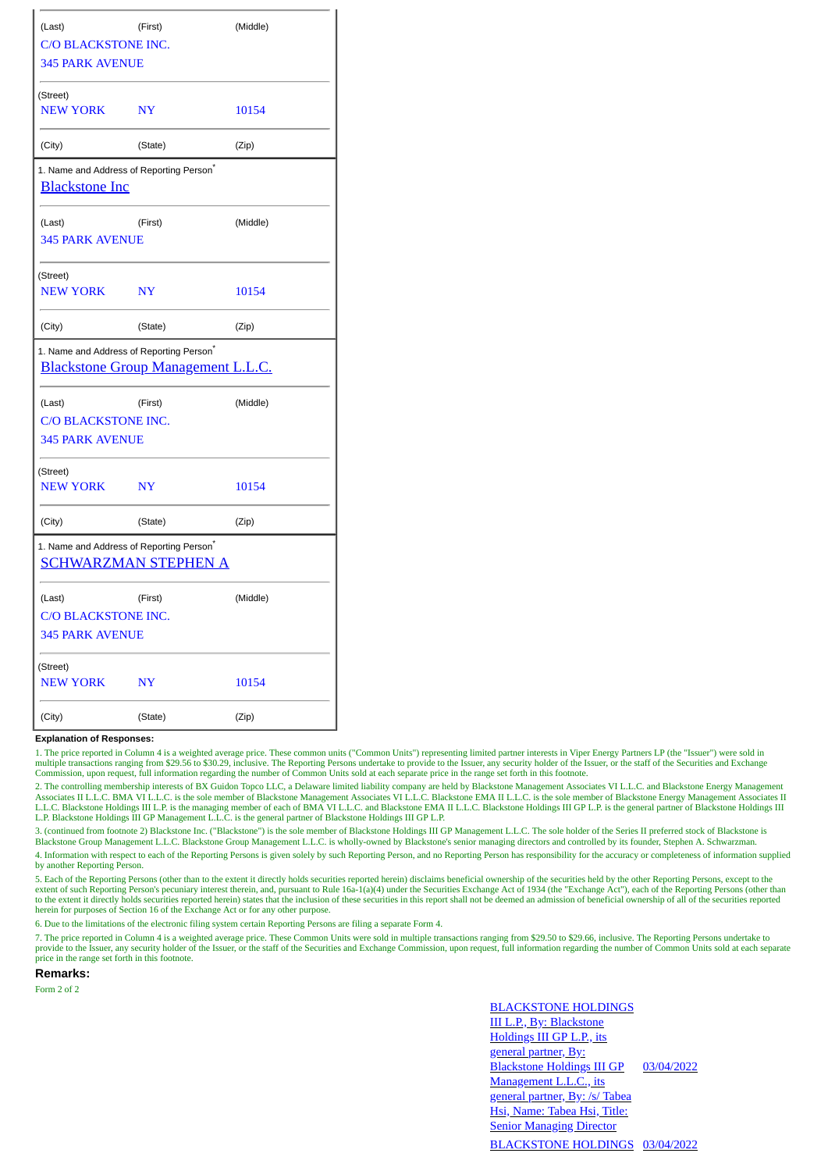| (Last)                                                                        | (First)                                   | (Middle) |  |
|-------------------------------------------------------------------------------|-------------------------------------------|----------|--|
| <b>C/O BLACKSTONE INC.</b>                                                    |                                           |          |  |
| <b>345 PARK AVENUE</b>                                                        |                                           |          |  |
| (Street)                                                                      |                                           |          |  |
| <b>NEW YORK</b>                                                               | <b>NY</b>                                 | 10154    |  |
| (City)                                                                        | (State)                                   | (Zip)    |  |
| 1. Name and Address of Reporting Person <sup>*</sup><br><b>Blackstone Inc</b> |                                           |          |  |
| (Last)                                                                        | (First)                                   | (Middle) |  |
| <b>345 PARK AVENUE</b>                                                        |                                           |          |  |
| (Street)                                                                      |                                           |          |  |
| <b>NEW YORK</b>                                                               | <b>NY</b>                                 | 10154    |  |
| (City)                                                                        | (State)                                   | (Zip)    |  |
| 1. Name and Address of Reporting Person <sup>*</sup>                          | <b>Blackstone Group Management L.L.C.</b> |          |  |
| (Last)                                                                        | (First)                                   | (Middle) |  |
| C/O BLACKSTONE INC.                                                           |                                           |          |  |
| <b>345 PARK AVENUE</b>                                                        |                                           |          |  |
| (Street)                                                                      |                                           |          |  |
| <b>NEW YORK</b>                                                               | <b>NY</b>                                 | 10154    |  |
| (City)                                                                        | (State)                                   | (Zip)    |  |
| 1. Name and Address of Reporting Person <sup>*</sup>                          | <b>SCHWARZMAN STEPHEN A</b>               |          |  |
| (Last)                                                                        | (First)                                   | (Middle) |  |
| C/O BLACKSTONE INC.                                                           |                                           |          |  |
| <b>345 PARK AVENUE</b>                                                        |                                           |          |  |
| (Street)                                                                      |                                           |          |  |
| <b>NEW YORK</b>                                                               | N <sub>Y</sub>                            | 10154    |  |
| (City)                                                                        | (State)                                   | (Zip)    |  |

## **Explanation of Responses:**

1. The price reported in Column 4 is a weighted average price. These common units ("Common Units") representing limited partner interests in Viper Energy Partners LP (the "Issuer") were sold in multiple transactions ranging from \$29.56 to \$30.29, inclusive. The Reporting Persons undertake to provide to the Issuer, any security holder of the Issuer, or the staff of the Securities and Exchange<br>Commission, upon requ

2. The controlling membership interests of BX Guidon Topco LLC, a Delaware limited liability company are held by Blackstone Management Associates VI L.L.C. and Blackstone Energy Management<br>Associates II L.L.C. BMA VI L.L.C L.L.C. Blackstone Holdings III L.P. is the managing member of each of BMA VI L.L.C. and Blackstone EMA II L.L.C. Blackstone Holdings III GP L.P. is the general partner of Blackstone Holdings III L.P. Blackstone Holdings III GP Management L.L.C. is the general partner of Blackstone Holdings III GP L.P.

3. (continued from footnote 2) Blackstone Inc. ("Blackstone") is the sole member of Blackstone Holdings III GP Management L.L.C. The sole holder of the Series II preferred stock of Blackstone is Blackstone Group Management L.L.C. Blackstone Group Management L.L.C. is wholly-owned by Blackstone's senior managing directors and controlled by its founder, Stephen A. Schwarzman.

4. Information with respect to each of the Reporting Persons is given solely by such Reporting Person, and no Reporting Person has responsibility for the accuracy or completeness of information supplied by another Reporting Person.

5. Each of the Reporting Persons (other than to the extent it directly holds securities reported herein) disclaims beneficial ownership of the securities held by the other Reporting Persons, except to the extent of such Reporting Person's pecuniary interest therein, and, pursuant to Rule 16a-1(a)(4) under the Securities Exchange Act of 1934 (the "Exchange Act"), each of the Reporting Persons (other than to the extent it directly holds securities reported herein) states that the inclusion of these securities in this report shall not be deemed an admission of beneficial ownership of all of the securities reported herein for purposes of Section 16 of the Exchange Act or for any other purpose.

6. Due to the limitations of the electronic filing system certain Reporting Persons are filing a separate Form 4.

7. The price reported in Column 4 is a weighted average price. These Common Units were sold in multiple transactions ranging from \$29.50 to \$29.66, inclusive. The Reporting Persons undertake to provide to the Issuer, any security holder of the Issuer, or the staff of the Securities and Exchange Commission, upon request, full information regarding the number of Common Units sold at each separate price in the range set forth in this footnote.

**Remarks:**

Form 2 of 2

BLACKSTONE HOLDINGS III L.P., By: Blackstone Holdings III GP L.P., its general partner, By: Blackstone Holdings III GP Management L.L.C., its general partner, By: /s/ Tabea Hsi, Name: Tabea Hsi, Title: **Senior Managing Director** 03/04/2022 BLACKSTONE HOLDINGS 03/04/2022